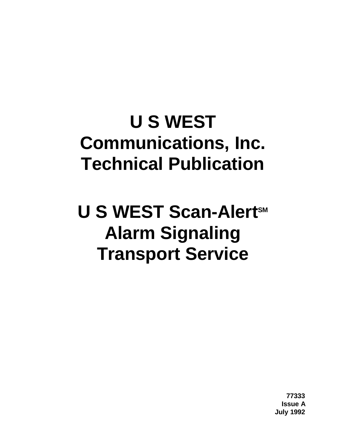# **U S WEST Communications, Inc. Technical Publication**

# **U S WEST Scan-Alert<sup>sM</sup> Alarm Signaling Transport Service**

**77333 Issue A July 1992**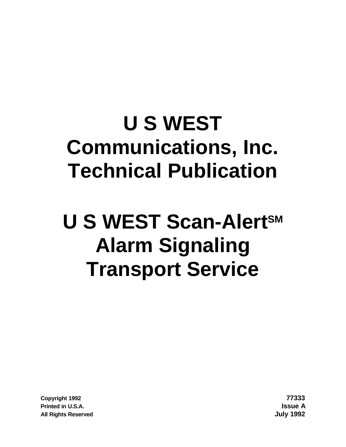# **U S WEST Communications, Inc. Technical Publication**

# **U S WEST Scan-AlertSM Alarm Signaling Transport Service**

**Copyright 1992 77333 Printed in U.S.A. Issue A All Rights Reserved July 1992**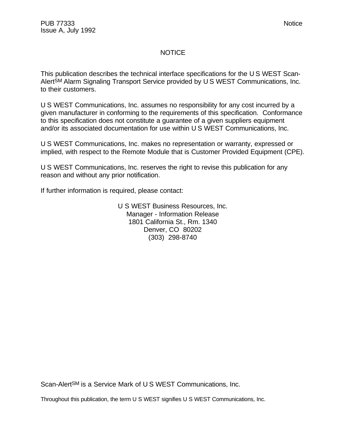# NOTICE

This publication describes the technical interface specifications for the U S WEST Scan-AlertSM Alarm Signaling Transport Service provided by U S WEST Communications, Inc. to their customers.

U S WEST Communications, Inc. assumes no responsibility for any cost incurred by a given manufacturer in conforming to the requirements of this specification. Conformance to this specification does not constitute a guarantee of a given suppliers equipment and/or its associated documentation for use within U S WEST Communications, Inc.

U S WEST Communications, Inc. makes no representation or warranty, expressed or implied, with respect to the Remote Module that is Customer Provided Equipment (CPE).

U S WEST Communications, Inc. reserves the right to revise this publication for any reason and without any prior notification.

If further information is required, please contact:

U S WEST Business Resources, Inc. Manager - Information Release 1801 California St., Rm. 1340 Denver, CO 80202 (303) 298-8740

Scan-Alert<sup>SM</sup> is a Service Mark of U S WEST Communications, Inc.

Throughout this publication, the term U S WEST signifies U S WEST Communications, Inc.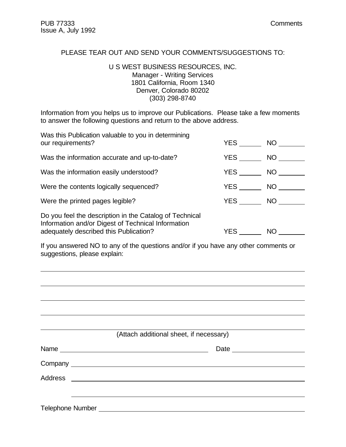#### PLEASE TEAR OUT AND SEND YOUR COMMENTS/SUGGESTIONS TO:

#### U S WEST BUSINESS RESOURCES, INC. Manager - Writing Services 1801 California, Room 1340 Denver, Colorado 80202 (303) 298-8740

Information from you helps us to improve our Publications. Please take a few moments to answer the following questions and return to the above address.

| Was this Publication valuable to you in determining<br>our requirements?                                                                                | YES        | NO <sub>1</sub> |
|---------------------------------------------------------------------------------------------------------------------------------------------------------|------------|-----------------|
| Was the information accurate and up-to-date?                                                                                                            | YES        | NO              |
| Was the information easily understood?                                                                                                                  | <b>YES</b> | NO              |
| Were the contents logically sequenced?                                                                                                                  |            | NO              |
| Were the printed pages legible?                                                                                                                         | <b>YES</b> | NO.             |
| Do you feel the description in the Catalog of Technical<br>Information and/or Digest of Technical Information<br>adequately described this Publication? | YES.       | <b>NO</b>       |

If you answered NO to any of the questions and/or if you have any other comments or suggestions, please explain:

|      | (Attach additional sheet, if necessary) |  |
|------|-----------------------------------------|--|
| Name |                                         |  |
|      |                                         |  |
|      |                                         |  |
|      |                                         |  |
|      |                                         |  |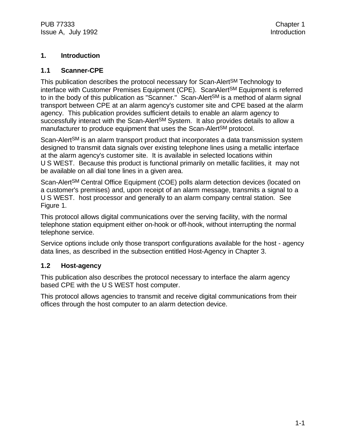# **1. Introduction**

#### **1.1 Scanner-CPE**

This publication describes the protocol necessary for Scan-AlertSM Technology to interface with Customer Premises Equipment (CPE). ScanAlertSM Equipment is referred to in the body of this publication as "Scanner." Scan-Alert<sup>SM</sup> is a method of alarm signal transport between CPE at an alarm agency's customer site and CPE based at the alarm agency. This publication provides sufficient details to enable an alarm agency to successfully interact with the Scan-Alert<sup>SM</sup> System. It also provides details to allow a manufacturer to produce equipment that uses the Scan-Alert<sup>SM</sup> protocol.

Scan-Alert<sup>SM</sup> is an alarm transport product that incorporates a data transmission system designed to transmit data signals over existing telephone lines using a metallic interface at the alarm agency's customer site. It is available in selected locations within U S WEST. Because this product is functional primarily on metallic facilities, it may not be available on all dial tone lines in a given area.

Scan-AlertSM Central Office Equipment (COE) polls alarm detection devices (located on a customer's premises) and, upon receipt of an alarm message, transmits a signal to a U S WEST. host processor and generally to an alarm company central station. See Figure 1.

This protocol allows digital communications over the serving facility, with the normal telephone station equipment either on-hook or off-hook, without interrupting the normal telephone service.

Service options include only those transport configurations available for the host - agency data lines, as described in the subsection entitled Host-Agency in Chapter 3.

#### **1.2 Host-agency**

This publication also describes the protocol necessary to interface the alarm agency based CPE with the U S WEST host computer.

This protocol allows agencies to transmit and receive digital communications from their offices through the host computer to an alarm detection device.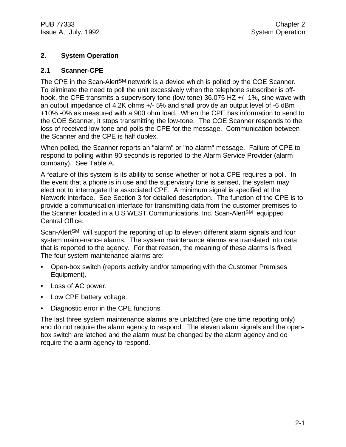#### **2. System Operation**

#### **2.1 Scanner-CPE**

The CPE in the Scan-Alert<sup>SM</sup> network is a device which is polled by the COE Scanner. To eliminate the need to poll the unit excessively when the telephone subscriber is offhook, the CPE transmits a supervisory tone (low-tone) 36.075 HZ +/- 1%, sine wave with an output impedance of 4.2K ohms +/- 5% and shall provide an output level of -6 dBm +10% -0% as measured with a 900 ohm load. When the CPE has information to send to the COE Scanner, it stops transmitting the low-tone. The COE Scanner responds to the loss of received low-tone and polls the CPE for the message. Communication between the Scanner and the CPE is half duplex.

When polled, the Scanner reports an "alarm" or "no alarm" message. Failure of CPE to respond to polling within 90 seconds is reported to the Alarm Service Provider (alarm company). See Table A.

A feature of this system is its ability to sense whether or not a CPE requires a poll. In the event that a phone is in use and the supervisory tone is sensed, the system may elect not to interrogate the associated CPE. A minimum signal is specified at the Network Interface. See Section 3 for detailed description. The function of the CPE is to provide a communication interface for transmitting data from the customer premises to the Scanner located in a U S WEST Communications, Inc. Scan-AlertSM equipped Central Office.

Scan-Alert<sup>SM</sup> will support the reporting of up to eleven different alarm signals and four system maintenance alarms. The system maintenance alarms are translated into data that is reported to the agency. For that reason, the meaning of these alarms is fixed. The four system maintenance alarms are:

- Open-box switch (reports activity and/or tampering with the Customer Premises Equipment).
- Loss of AC power.
- Low CPE battery voltage.
- Diagnostic error in the CPE functions.

The last three system maintenance alarms are unlatched (are one time reporting only) and do not require the alarm agency to respond. The eleven alarm signals and the openbox switch are latched and the alarm must be changed by the alarm agency and do require the alarm agency to respond.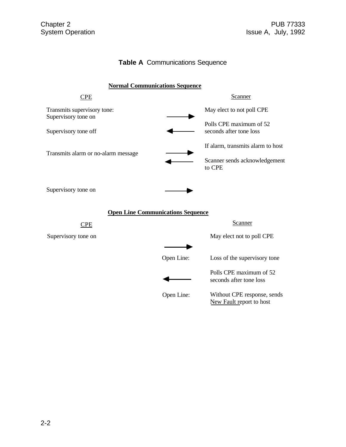# **Table A** Communications Sequence

| <b>Normal Communications Sequence</b>              |            |                                                         |  |
|----------------------------------------------------|------------|---------------------------------------------------------|--|
| <b>CPE</b>                                         |            | <b>Scanner</b>                                          |  |
| Transmits supervisory tone:<br>Supervisory tone on |            | May elect to not poll CPE                               |  |
| Supervisory tone off                               |            | Polls CPE maximum of 52<br>seconds after tone loss      |  |
| Transmits alarm or no-alarm message                |            | If alarm, transmits alarm to host                       |  |
|                                                    |            | Scanner sends acknowledgement<br>to CPE                 |  |
| Supervisory tone on                                |            |                                                         |  |
| <b>Open Line Communications Sequence</b>           |            |                                                         |  |
| <b>CPE</b>                                         |            | Scanner                                                 |  |
| Supervisory tone on                                |            | May elect not to poll CPE                               |  |
|                                                    |            |                                                         |  |
|                                                    | Open Line: | Loss of the supervisory tone                            |  |
|                                                    |            | Polls CPE maximum of 52<br>seconds after tone loss      |  |
|                                                    | Open Line: | Without CPE response, sends<br>New Fault report to host |  |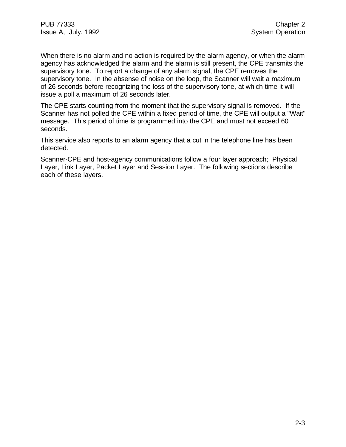When there is no alarm and no action is required by the alarm agency, or when the alarm agency has acknowledged the alarm and the alarm is still present, the CPE transmits the supervisory tone. To report a change of any alarm signal, the CPE removes the supervisory tone. In the absense of noise on the loop, the Scanner will wait a maximum of 26 seconds before recognizing the loss of the supervisory tone, at which time it will issue a poll a maximum of 26 seconds later.

The CPE starts counting from the moment that the supervisory signal is removed. If the Scanner has not polled the CPE within a fixed period of time, the CPE will output a "Wait" message. This period of time is programmed into the CPE and must not exceed 60 seconds.

This service also reports to an alarm agency that a cut in the telephone line has been detected.

Scanner-CPE and host-agency communications follow a four layer approach; Physical Layer, Link Layer, Packet Layer and Session Layer. The following sections describe each of these layers.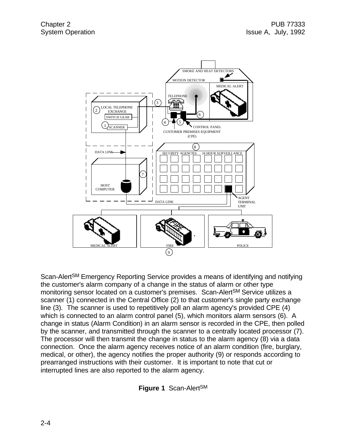

Scan-AlertSM Emergency Reporting Service provides a means of identifying and notifying the customer's alarm company of a change in the status of alarm or other type monitoring sensor located on a customer's premises. Scan-AlertSM Service utilizes a scanner (1) connected in the Central Office (2) to that customer's single party exchange line (3). The scanner is used to repetitively poll an alarm agency's provided CPE (4) which is connected to an alarm control panel (5), which monitors alarm sensors (6). A change in status (Alarm Condition) in an alarm sensor is recorded in the CPE, then polled by the scanner, and transmitted through the scanner to a centrally located processor (7). The processor will then transmit the change in status to the alarm agency (8) via a data connection. Once the alarm agency receives notice of an alarm condition (fire, burglary, medical, or other), the agency notifies the proper authority (9) or responds according to prearranged instructions with their customer. It is important to note that cut or interrupted lines are also reported to the alarm agency.

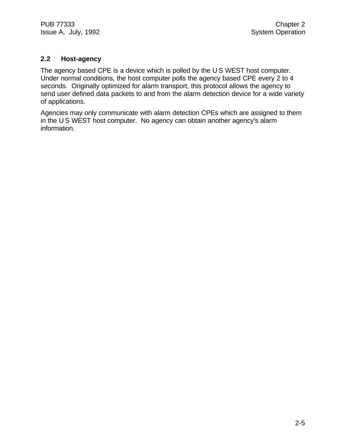## **2.2 Host-agency**

The agency based CPE is a device which is polled by the U S WEST host computer. Under normal conditions, the host computer polls the agency based CPE every 2 to 4 seconds. Originally optimized for alarm transport, this protocol allows the agency to send user defined data packets to and from the alarm detection device for a wide variety of applications.

Agencies may only communicate with alarm detection CPEs which are assigned to them in the U S WEST host computer. No agency can obtain another agency's alarm information.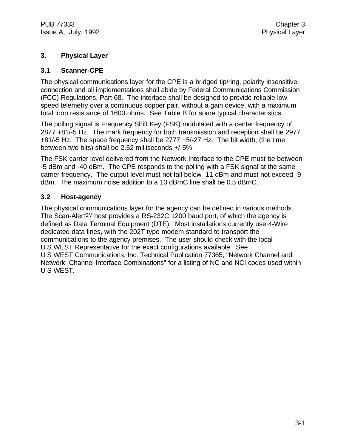### **3. Physical Layer**

#### **3.1 Scanner-CPE**

The physical communications layer for the CPE is a bridged tip/ring, polarity insensitive, connection and all implementations shall abide by Federal Communications Commission (FCC) Regulations, Part 68. The interface shall be designed to provide reliable low speed telemetry over a continuous copper pair, without a gain device, with a maximum total loop resistance of 1600 ohms. See Table B for some typical characteristics.

The polling signal is Frequency Shift Key (FSK) modulated with a center frequency of 2877 +81/-5 Hz. The mark frequency for both transmission and reception shall be 2977 +81/-5 Hz. The space frequency shall be 2777 +5/-27 Hz. The bit width, (the time between two bits) shall be 2.52 milliseconds +/-5%.

The FSK carrier level delivered from the Network Interface to the CPE must be between -5 dBm and -40 dBm. The CPE responds to the polling with a FSK signal at the same carrier frequency. The output level must not fall below -11 dBm and must not exceed -9 dBm. The maximum noise addition to a 10 dBrnC line shall be 0.5 dBrnC.

#### **3.2 Host-agency**

The physical communications layer for the agency can be defined in various methods. The Scan-Alert<sup>SM</sup> host provides a RS-232C 1200 baud port, of which the agency is defined as Data Terminal Equipment (DTE). Most installations currently use 4-Wire dedicated data lines, with the 202T type modem standard to transport the communications to the agency premises. The user should check with the local U S WEST Representative for the exact configurations available. See U S WEST Communications, Inc. Technical Publication 77365, "Network Channel and Network Channel Interface Combinations" for a listing of NC and NCI codes used within U S WEST.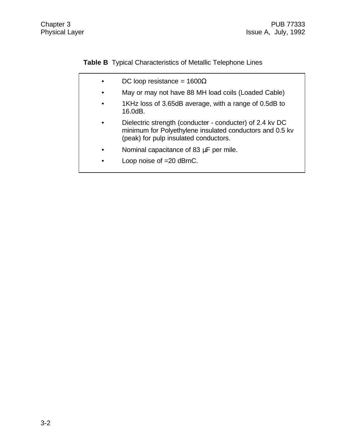**Table B** Typical Characteristics of Metallic Telephone Lines

- DC loop resistance =  $1600\Omega$
- May or may not have 88 MH load coils (Loaded Cable)
- 1KHz loss of 3.65dB average, with a range of 0.5dB to 16.0dB.
- Dielectric strength (conducter conducter) of 2.4 kv DC minimum for Polyethylene insulated conductors and 0.5 kv (peak) for pulp insulated conductors.
- Nominal capacitance of 83 μF per mile.
- Loop noise of =20 dBrnC.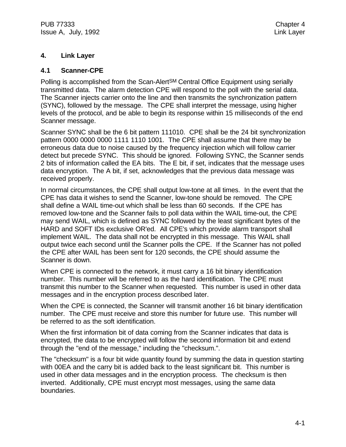# **4. Link Layer**

#### **4.1 Scanner-CPE**

Polling is accomplished from the Scan-Alert<sup>SM</sup> Central Office Equipment using serially transmitted data. The alarm detection CPE will respond to the poll with the serial data. The Scanner injects carrier onto the line and then transmits the synchronization pattern (SYNC), followed by the message. The CPE shall interpret the message, using higher levels of the protocol, and be able to begin its response within 15 milliseconds of the end Scanner message.

Scanner SYNC shall be the 6 bit pattern 111010. CPE shall be the 24 bit synchronization pattern 0000 0000 0000 1111 1110 1001. The CPE shall assume that there may be erroneous data due to noise caused by the frequency injection which will follow carrier detect but precede SYNC. This should be ignored. Following SYNC, the Scanner sends 2 bits of information called the EA bits. The E bit, if set, indicates that the message uses data encryption. The A bit, if set, acknowledges that the previous data message was received properly.

In normal circumstances, the CPE shall output low-tone at all times. In the event that the CPE has data it wishes to send the Scanner, low-tone should be removed. The CPE shall define a WAIL time-out which shall be less than 60 seconds. If the CPE has removed low-tone and the Scanner fails to poll data within the WAIL time-out, the CPE may send WAIL, which is defined as SYNC followed by the least significant bytes of the HARD and SOFT IDs exclusive OR'ed. All CPE's which provide alarm transport shall implement WAIL. The data shall not be encrypted in this message. This WAIL shall output twice each second until the Scanner polls the CPE. If the Scanner has not polled the CPE after WAIL has been sent for 120 seconds, the CPE should assume the Scanner is down.

When CPE is connected to the network, it must carry a 16 bit binary identification number. This number will be referred to as the hard identification. The CPE must transmit this number to the Scanner when requested. This number is used in other data messages and in the encryption process described later.

When the CPE is connected, the Scanner will transmit another 16 bit binary identification number. The CPE must receive and store this number for future use. This number will be referred to as the soft identification.

When the first information bit of data coming from the Scanner indicates that data is encrypted, the data to be encrypted will follow the second information bit and extend through the "end of the message," including the "checksum.".

The "checksum" is a four bit wide quantity found by summing the data in question starting with 00EA and the carry bit is added back to the least significant bit. This number is used in other data messages and in the encryption process. The checksum is then inverted. Additionally, CPE must encrypt most messages, using the same data boundaries.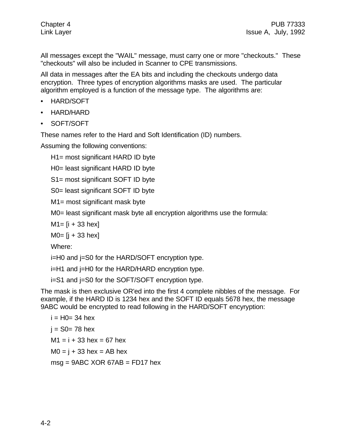All messages except the "WAIL" message, must carry one or more "checkouts." These "checkouts" will also be included in Scanner to CPE transmissions.

All data in messages after the EA bits and including the checkouts undergo data encryption. Three types of encryption algorithms masks are used. The particular algorithm employed is a function of the message type. The algorithms are:

- HARD/SOFT
- HARD/HARD
- SOFT/SOFT

These names refer to the Hard and Soft Identification (ID) numbers.

Assuming the following conventions:

H1= most significant HARD ID byte

H0= least significant HARD ID byte

S1= most significant SOFT ID byte

S0= least significant SOFT ID byte

M1= most significant mask byte

M0= least significant mask byte all encryption algorithms use the formula:

 $M1 = [i + 33 \text{ hex}]$ 

 $MO = [j + 33 \text{ hex}]$ 

Where:

i=H0 and j=S0 for the HARD/SOFT encryption type.

i=H1 and j=H0 for the HARD/HARD encryption type.

i=S1 and j=S0 for the SOFT/SOFT encryption type.

The mask is then exclusive OR'ed into the first 4 complete nibbles of the message. For example, if the HARD ID is 1234 hex and the SOFT ID equals 5678 hex, the message 9ABC would be encrypted to read following in the HARD/SOFT encyryption:

 $i = HO = 34$  hex  $i = SO = 78$  hex  $M1 = i + 33$  hex = 67 hex  $MO = i + 33$  hex = AB hex  $msg = 9ABC XOR 67AB = FD17 hex$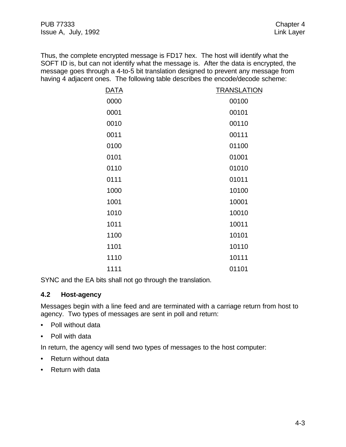Thus, the complete encrypted message is FD17 hex. The host will identify what the SOFT ID is, but can not identify what the message is. After the data is encrypted, the message goes through a 4-to-5 bit translation designed to prevent any message from having 4 adjacent ones. The following table describes the encode/decode scheme:

| <b>DATA</b> | <b>TRANSLATION</b> |
|-------------|--------------------|
| 0000        | 00100              |
| 0001        | 00101              |
| 0010        | 00110              |
| 0011        | 00111              |
| 0100        | 01100              |
| 0101        | 01001              |
| 0110        | 01010              |
| 0111        | 01011              |
| 1000        | 10100              |
| 1001        | 10001              |
| 1010        | 10010              |
| 1011        | 10011              |
| 1100        | 10101              |
| 1101        | 10110              |
| 1110        | 10111              |
| 1111        | 01101              |

SYNC and the EA bits shall not go through the translation.

#### **4.2 Host-agency**

Messages begin with a line feed and are terminated with a carriage return from host to agency. Two types of messages are sent in poll and return:

- Poll without data
- Poll with data

In return, the agency will send two types of messages to the host computer:

- Return without data
- Return with data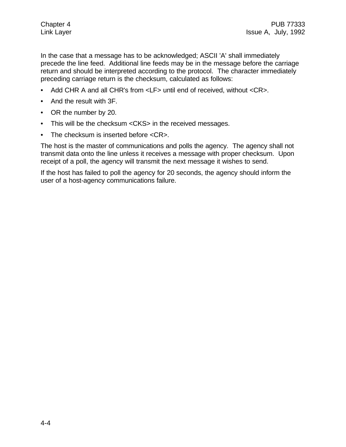In the case that a message has to be acknowledged; ASCII 'A' shall immediately precede the line feed. Additional line feeds may be in the message before the carriage return and should be interpreted according to the protocol. The character immediately preceding carriage return is the checksum, calculated as follows:

- Add CHR A and all CHR's from <LF> until end of received, without <CR>.
- And the result with 3F.
- OR the number by 20.
- This will be the checksum <CKS> in the received messages.
- The checksum is inserted before <CR>.

The host is the master of communications and polls the agency. The agency shall not transmit data onto the line unless it receives a message with proper checksum. Upon receipt of a poll, the agency will transmit the next message it wishes to send.

If the host has failed to poll the agency for 20 seconds, the agency should inform the user of a host-agency communications failure.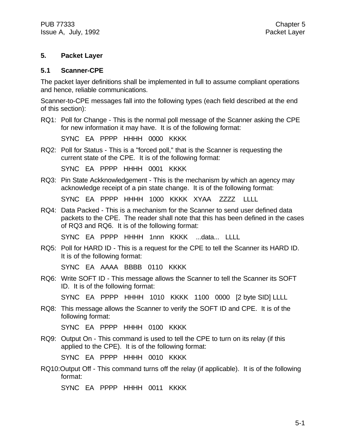#### **5. Packet Layer**

#### **5.1 Scanner-CPE**

The packet layer definitions shall be implemented in full to assume compliant operations and hence, reliable communications.

Scanner-to-CPE messages fall into the following types (each field described at the end of this section):

RQ1: Poll for Change - This is the normal poll message of the Scanner asking the CPE for new information it may have. It is of the following format:

SYNC EA PPPP HHHH 0000 KKKK

RQ2: Poll for Status - This is a "forced poll," that is the Scanner is requesting the current state of the CPE. It is of the following format:

SYNC EA PPPP HHHH 0001 KKKK

RQ3: Pin State Ackknowledgement - This is the mechanism by which an agency may acknowledge receipt of a pin state change. It is of the following format:

SYNC EA PPPP HHHH 1000 KKKK XYAA ZZZZ LLLL

RQ4: Data Packed - This is a mechanism for the Scanner to send user defined data packets to the CPE. The reader shall note that this has been defined in the cases of RQ3 and RQ6. It is of the following format:

SYNC EA PPPP HHHH 1nnn KKKK ...data... LLLL

RQ5: Poll for HARD ID - This is a request for the CPE to tell the Scanner its HARD ID. It is of the following format:

SYNC EA AAAA BBBB 0110 KKKK

RQ6: Write SOFT ID - This message allows the Scanner to tell the Scanner its SOFT ID. It is of the following format:

SYNC EA PPPP HHHH 1010 KKKK 1100 0000 [2 byte SID] LLLL

RQ8: This message allows the Scanner to verify the SOFT ID and CPE. It is of the following format:

SYNC EA PPPP HHHH 0100 KKKK

RQ9: Output On - This command is used to tell the CPE to turn on its relay (if this applied to the CPE). It is of the following format:

SYNC EA PPPP HHHH 0010 KKKK

RQ10:Output Off - This command turns off the relay (if applicable). It is of the following format:

SYNC EA PPPP HHHH 0011 KKKK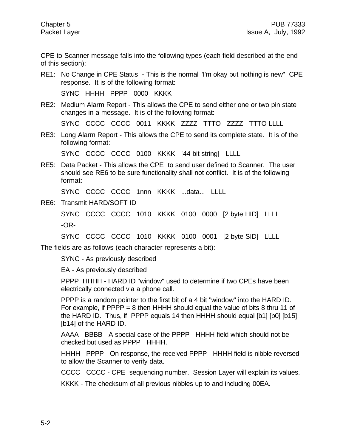CPE-to-Scanner message falls into the following types (each field described at the end of this section):

RE1: No Change in CPE Status - This is the normal "I'm okay but nothing is new" CPE response. It is of the following format:

SYNC HHHH PPPP 0000 KKKK

RE2: Medium Alarm Report - This allows the CPE to send either one or two pin state changes in a message. It is of the following format:

SYNC CCCC CCCC 0011 KKKK ZZZZ TTTO ZZZZ TTTO LLLL

RE3: Long Alarm Report - This allows the CPE to send its complete state. It is of the following format:

SYNC CCCC CCCC 0100 KKKK [44 bit string] LLLL

RE5: Data Packet - This allows the CPE to send user defined to Scanner. The user should see RE6 to be sure functionality shall not conflict. It is of the following format:

SYNC CCCC CCCC 1nnn KKKK ...data... LLLL

RE6: Transmit HARD/SOFT ID

SYNC CCCC CCCC 1010 KKKK 0100 0000 [2 byte HID] LLLL -OR-

SYNC CCCC CCCC 1010 KKKK 0100 0001 [2 byte SID] LLLL

The fields are as follows (each character represents a bit):

SYNC - As previously described

EA - As previously described

PPPP HHHH - HARD ID "window" used to determine if two CPEs have been electrically connected via a phone call.

PPPP is a random pointer to the first bit of a 4 bit "window" into the HARD ID. For example, if  $PPP = 8$  then HHHH should equal the value of bits 8 thru 11 of the HARD ID. Thus, if PPPP equals 14 then HHHH should equal [b1] [b0] [b15] [b14] of the HARD ID.

AAAA BBBB - A special case of the PPPP HHHH field which should not be checked but used as PPPP HHHH.

HHHH PPPP - On response, the received PPPP HHHH field is nibble reversed to allow the Scanner to verify data.

CCCC CCCC - CPE sequencing number. Session Layer will explain its values.

KKKK - The checksum of all previous nibbles up to and including 00EA.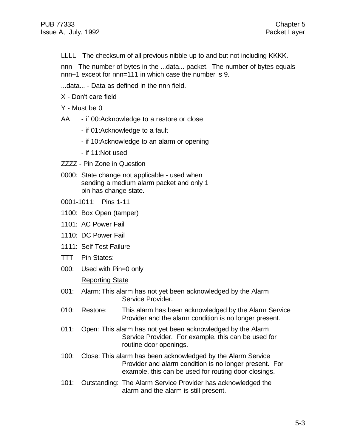LLLL - The checksum of all previous nibble up to and but not including KKKK.

nnn - The number of bytes in the ...data... packet. The number of bytes equals nnn+1 except for nnn=111 in which case the number is 9.

- ...data... Data as defined in the nnn field.
- X Don't care field
- Y Must be 0
- AA if 00:Acknowledge to a restore or close
	- if 01:Acknowledge to a fault
	- if 10:Acknowledge to an alarm or opening
	- if 11:Not used
- ZZZZ Pin Zone in Question
- 0000: State change not applicable used when sending a medium alarm packet and only 1 pin has change state.
- 0001-1011: Pins 1-11
- 1100: Box Open (tamper)
- 1101: AC Power Fail
- 1110: DC Power Fail
- 1111: Self Test Failure
- TTT Pin States:
- 000: Used with Pin=0 only

#### Reporting State

- 001: Alarm: This alarm has not yet been acknowledged by the Alarm Service Provider.
- 010: Restore: This alarm has been acknowledged by the Alarm Service Provider and the alarm condition is no longer present.
- 011: Open: This alarm has not yet been acknowledged by the Alarm Service Provider. For example, this can be used for routine door openings.
- 100: Close: This alarm has been acknowledged by the Alarm Service Provider and alarm condition is no longer present. For example, this can be used for routing door closings.
- 101: Outstanding: The Alarm Service Provider has acknowledged the alarm and the alarm is still present.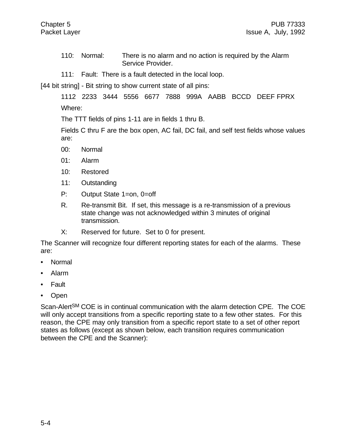- 110: Normal: There is no alarm and no action is required by the Alarm Service Provider.
- 111: Fault: There is a fault detected in the local loop.

[44 bit string] - Bit string to show current state of all pins:

1112 2233 3444 5556 6677 7888 999A AABB BCCD DEEF FPRX Where:

The TTT fields of pins 1-11 are in fields 1 thru B.

Fields C thru F are the box open, AC fail, DC fail, and self test fields whose values are:

- 00: Normal
- 01: Alarm
- 10: Restored
- 11: Outstanding
- P: Output State 1=on, 0=off
- R. Re-transmit Bit. If set, this message is a re-transmission of a previous state change was not acknowledged within 3 minutes of original transmission.
- X: Reserved for future. Set to 0 for present.

The Scanner will recognize four different reporting states for each of the alarms. These are:

- Normal
- Alarm
- Fault
- Open

Scan-AlertSM COE is in continual communication with the alarm detection CPE. The COE will only accept transitions from a specific reporting state to a few other states. For this reason, the CPE may only transition from a specific report state to a set of other report states as follows (except as shown below, each transition requires communication between the CPE and the Scanner):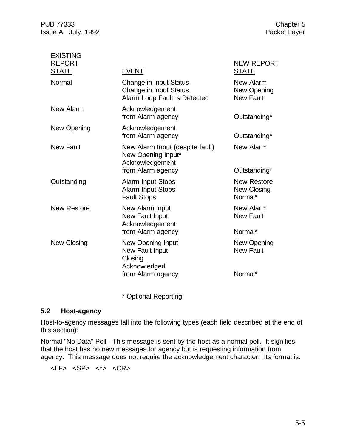PUB 77333 Chapter 5<br>
Issue A, July, 1992 Chapter 5 Issue A, July, 1992

| <b>EXISTING</b>               |                                                                                               |                                                     |
|-------------------------------|-----------------------------------------------------------------------------------------------|-----------------------------------------------------|
| <b>REPORT</b><br><b>STATE</b> | <b>EVENT</b>                                                                                  | <b>NEW REPORT</b><br><b>STATE</b>                   |
| Normal                        | Change in Input Status<br>Change in Input Status<br>Alarm Loop Fault is Detected              | New Alarm<br>New Opening<br><b>New Fault</b>        |
| New Alarm                     | Acknowledgement<br>from Alarm agency                                                          | Outstanding*                                        |
| New Opening                   | Acknowledgement<br>from Alarm agency                                                          | Outstanding*                                        |
| <b>New Fault</b>              | New Alarm Input (despite fault)<br>New Opening Input*<br>Acknowledgement<br>from Alarm agency | New Alarm<br>Outstanding*                           |
| Outstanding                   | <b>Alarm Input Stops</b><br><b>Alarm Input Stops</b><br><b>Fault Stops</b>                    | <b>New Restore</b><br><b>New Closing</b><br>Normal* |
| <b>New Restore</b>            | New Alarm Input<br>New Fault Input<br>Acknowledgement<br>from Alarm agency                    | New Alarm<br><b>New Fault</b><br>Normal*            |
| New Closing                   | New Opening Input<br>New Fault Input<br>Closing<br>Acknowledged<br>from Alarm agency          | New Opening<br><b>New Fault</b><br>Normal*          |
|                               |                                                                                               |                                                     |

\* Optional Reporting

#### **5.2 Host-agency**

Host-to-agency messages fall into the following types (each field described at the end of this section):

Normal "No Data" Poll - This message is sent by the host as a normal poll. It signifies that the host has no new messages for agency but is requesting information from agency. This message does not require the acknowledgement character. Its format is:

 $\langle LF \rangle$   $\langle SP \rangle$   $\langle * \rangle$   $\langle CR \rangle$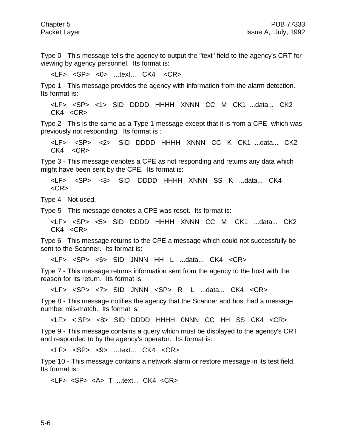Type 0 - This message tells the agency to output the "text" field to the agency's CRT for viewing by agency personnel. Its format is:

<LF> <SP> <0> ...text... CK4 <CR>

Type 1 - This message provides the agency with information from the alarm detection. Its format is:

<LF> <SP> <1> SID DDDD HHHH XNNN CC M CK1 ...data... CK2  $CK4 < CR$ 

Type 2 - This is the same as a Type 1 message except that it is from a CPE which was previously not responding. Its format is :

<LF> <SP> <2> SID DDDD HHHH XNNN CC K CK1 ...data... CK2  $CK4 < CR$ 

Type 3 - This message denotes a CPE as not responding and returns any data which might have been sent by the CPE. Its format is:

<LF> <SP> <3> SID DDDD HHHH XNNN SS K ...data... CK4 <CR>

Type 4 - Not used.

Type 5 - This message denotes a CPE was reset. Its format is:

<LF> <SP> <5> SID DDDD HHHH XNNN CC M CK1 ...data... CK2 CK4 <CR>

Type 6 - This message returns to the CPE a message which could not successfully be sent to the Scanner. Its format is:

<LF> <SP> <6> SID JNNN HH L ...data... CK4 <CR>

Type 7 - This message returns information sent from the agency to the host with the reason for its return. Its format is:

<LF> <SP> <7> SID JNNN <SP> R L ...data... CK4 <CR>

Type 8 - This message notifies the agency that the Scanner and host had a message number mis-match. Its format is:

<LF> < SP> <8> SID DDDD HHHH 0NNN CC HH SS CK4 <CR>

Type 9 - This message contains a query which must be displayed to the agency's CRT and responded to by the agency's operator. Its format is:

<LF> <SP> <9> ...text... CK4 <CR>

Type 10 - This message contains a network alarm or restore message in its test field. Its format is:

<LF> <SP> <A> T ...text... CK4 <CR>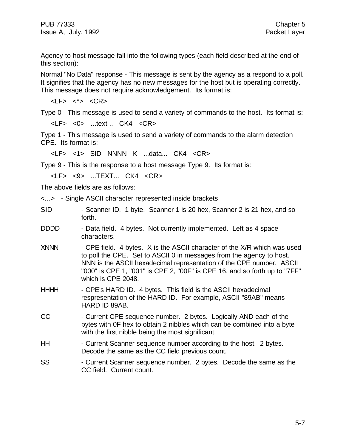Agency-to-host message fall into the following types (each field described at the end of this section):

Normal "No Data" response - This message is sent by the agency as a respond to a poll. It signifies that the agency has no new messages for the host but is operating correctly. This message does not require acknowledgement. Its format is:

<LF> <\*> <CR>

Type 0 - This message is used to send a variety of commands to the host. Its format is:

<LF> <0> ...text .. CK4 <CR>

Type 1 - This message is used to send a variety of commands to the alarm detection CPE. Its format is:

<LF> <1> SID NNNN K ...data... CK4 <CR>

Type 9 - This is the response to a host message Type 9. Its format is:

<LF> <9> ...TEXT... CK4 <CR>

The above fields are as follows:

<...> - Single ASCII character represented inside brackets

| <b>SID</b>  | - Scanner ID. 1 byte. Scanner 1 is 20 hex, Scanner 2 is 21 hex, and so<br>forth.                                                                                                                                                                                                                                            |
|-------------|-----------------------------------------------------------------------------------------------------------------------------------------------------------------------------------------------------------------------------------------------------------------------------------------------------------------------------|
| <b>DDDD</b> | - Data field. 4 bytes. Not currently implemented. Left as 4 space<br>characters.                                                                                                                                                                                                                                            |
| <b>XNNN</b> | - CPE field. 4 bytes. X is the ASCII character of the X/R which was used<br>to poll the CPE. Set to ASCII 0 in messages from the agency to host.<br>NNN is the ASCII hexadecimal representation of the CPE number. ASCII<br>"000" is CPE 1, "001" is CPE 2, "00F" is CPE 16, and so forth up to "7FF"<br>which is CPE 2048. |
| <b>HHHH</b> | - CPE's HARD ID. 4 bytes. This field is the ASCII hexadecimal<br>respresentation of the HARD ID. For example, ASCII "89AB" means<br>HARD ID 89AB.                                                                                                                                                                           |
| CC          | - Current CPE sequence number. 2 bytes. Logically AND each of the<br>bytes with OF hex to obtain 2 nibbles which can be combined into a byte<br>with the first nibble being the most significant.                                                                                                                           |
| <b>HH</b>   | - Current Scanner sequence number according to the host. 2 bytes.<br>Decode the same as the CC field previous count.                                                                                                                                                                                                        |
| SS          | - Current Scanner sequence number. 2 bytes. Decode the same as the                                                                                                                                                                                                                                                          |

SS - Current Scanner sequence number. 2 bytes. Decode the same as the CC field. Current count.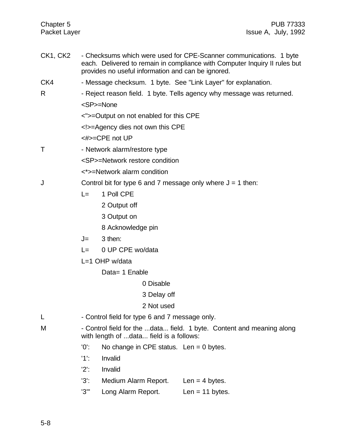- CK1, CK2 Checksums which were used for CPE-Scanner communications. 1 byte each. Delivered to remain in compliance with Computer Inquiry II rules but provides no useful information and can be ignored.
- CK4 Message checksum. 1 byte. See "Link Layer" for explanation.
- R Fig. 2. Reject reason field. 1 byte. Tells agency why message was returned. <SP>=None
	- <">=Output on not enabled for this CPE
	- <!>=Agency dies not own this CPE

<#>=CPE not UP

- T Network alarm/restore type
	- <SP>=Network restore condition
	- <\*>=Network alarm condition
- J Control bit for type 6 and 7 message only where  $J = 1$  then:
	- L= 1 Poll CPE
		- 2 Output off
		- 3 Output on
		- 8 Acknowledge pin
	- $J = 3$  then:
	- L= 0 UP CPE wo/data
	- L=1 OHP w/data
		- Data= 1 Enable
			- 0 Disable
			- 3 Delay off
			- 2 Not used
- L  **Control field for type 6 and 7 message only.**
- M Control field for the ...data... field. 1 byte. Content and meaning along with length of ...data... field is a follows:
	- '0': No change in CPE status. Len = 0 bytes.
	- '1': Invalid
	- '2': Invalid
	- '3': Medium Alarm Report. Len = 4 bytes.
	- '3'" Long Alarm Report. Len = 11 bytes.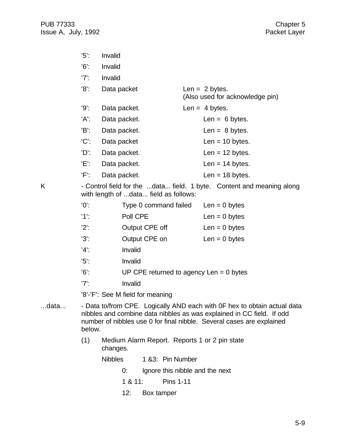| $'5$ :  | Invalid      |                                                     |
|---------|--------------|-----------------------------------------------------|
| '6      | Invalid      |                                                     |
| $'7$ :  | Invalid      |                                                     |
| $'8'$ : | Data packet  | Len = $2$ bytes.<br>(Also used for acknowledge pin) |
| $'9'$ : | Data packet. | Len = $4$ bytes.                                    |
| 'A':    | Data packet. | Len = $6$ bytes.                                    |
| 'B':    | Data packet. | Len = $8$ bytes.                                    |
| $'C$ :  | Data packet  | Len = $10$ bytes.                                   |
| 'D':    | Data packet. | Len = $12$ bytes.                                   |
| 'E':    | Data packet. | Len = $14$ bytes.                                   |
| 'F':    | Data packet. | Len = $18$ bytes.                                   |
|         |              |                                                     |

K - Control field for the ...data... field. 1 byte. Content and meaning along with length of ...data... field as follows:

| $'0$ :  | Type 0 command failed                     | Len = $0$ bytes |
|---------|-------------------------------------------|-----------------|
| $'1$ :  | Poll CPE                                  | Len = $0$ bytes |
| $'2$ :  | Output CPE off                            | Len = $0$ bytes |
| $'3'$ : | Output CPE on                             | Len = $0$ bytes |
| $'4'$ : | Invalid                                   |                 |
| $'5$ :  | Invalid                                   |                 |
| $'6'$ : | UP CPE returned to agency Len $= 0$ bytes |                 |
| $'7$ :  | Invalid                                   |                 |
|         |                                           |                 |

'8'-'F': See M field for meaning

- ...data... Data to/from CPE. Logically AND each with 0F hex to obtain actual data nibbles and combine data nibbles as was explained in CC field. If odd number of nibbles use 0 for final nibble. Several cases are explained below.
	- (1) Medium Alarm Report. Reports 1 or 2 pin state changes.

Nibbles 1 &3: Pin Number

- 0: Ignore this nibble and the next
- 1 & 11: Pins 1-11
- 12: Box tamper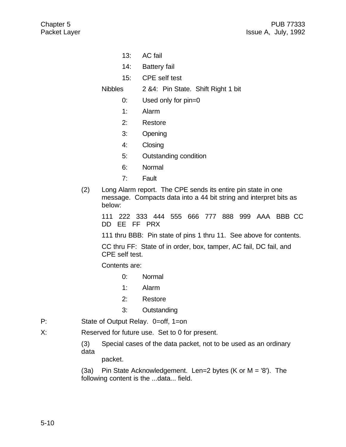- 13: AC fail
- 14: Battery fail
- 15: CPE self test

Nibbles 2 &4: Pin State. Shift Right 1 bit

- 0: Used only for pin=0
- 1: Alarm
- 2: Restore
- 3: Opening
- 4: Closing
- 5: Outstanding condition
- 6: Normal
- 7: Fault
- (2) Long Alarm report. The CPE sends its entire pin state in one message. Compacts data into a 44 bit string and interpret bits as below:

111 222 333 444 555 666 777 888 999 AAA BBB CC DD EE FF PRX

111 thru BBB: Pin state of pins 1 thru 11. See above for contents.

CC thru FF: State of in order, box, tamper, AC fail, DC fail, and CPE self test.

Contents are:

- 0: Normal
- 1: Alarm
- 2: Restore
- 3: Outstanding
- P: State of Output Relay. 0=off, 1=on
- X: Reserved for future use. Set to 0 for present.

(3) Special cases of the data packet, not to be used as an ordinary data

packet.

(3a) Pin State Acknowledgement. Len=2 bytes (K or M = '8'). The following content is the ...data... field.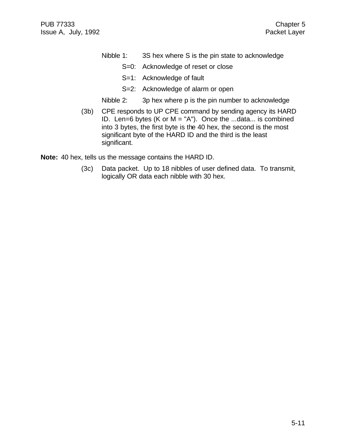- Nibble 1: 3S hex where S is the pin state to acknowledge
	- S=0: Acknowledge of reset or close
	- S=1: Acknowledge of fault
	- S=2: Acknowledge of alarm or open
- Nibble 2: 3p hex where p is the pin number to acknowledge
- (3b) CPE responds to UP CPE command by sending agency its HARD ID. Len=6 bytes (K or M = "A"). Once the ...data... is combined into 3 bytes, the first byte is the 40 hex, the second is the most significant byte of the HARD ID and the third is the least significant.

**Note:** 40 hex, tells us the message contains the HARD ID.

(3c) Data packet. Up to 18 nibbles of user defined data. To transmit, logically OR data each nibble with 30 hex.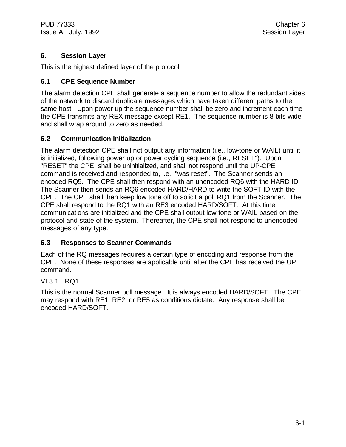PUB 77333 Chapter 6 Issue A, July, 1992 **Session Layer** 

# **6. Session Layer**

This is the highest defined layer of the protocol.

# **6.1 CPE Sequence Number**

The alarm detection CPE shall generate a sequence number to allow the redundant sides of the network to discard duplicate messages which have taken different paths to the same host. Upon power up the sequence number shall be zero and increment each time the CPE transmits any REX message except RE1. The sequence number is 8 bits wide and shall wrap around to zero as needed.

# **6.2 Communication Initialization**

The alarm detection CPE shall not output any information (i.e., low-tone or WAIL) until it is initialized, following power up or power cycling sequence (i.e.,"RESET"). Upon "RESET" the CPE shall be uninitialized, and shall not respond until the UP-CPE command is received and responded to, i.e., "was reset". The Scanner sends an encoded RQ5. The CPE shall then respond with an unencoded RQ6 with the HARD ID. The Scanner then sends an RQ6 encoded HARD/HARD to write the SOFT ID with the CPE. The CPE shall then keep low tone off to solicit a poll RQ1 from the Scanner. The CPE shall respond to the RQ1 with an RE3 encoded HARD/SOFT. At this time communications are initialized and the CPE shall output low-tone or WAIL based on the protocol and state of the system. Thereafter, the CPE shall not respond to unencoded messages of any type.

# **6.3 Responses to Scanner Commands**

Each of the RQ messages requires a certain type of encoding and response from the CPE. None of these responses are applicable until after the CPE has received the UP command.

#### VI.3.1 RQ1

This is the normal Scanner poll message. It is always encoded HARD/SOFT. The CPE may respond with RE1, RE2, or RE5 as conditions dictate. Any response shall be encoded HARD/SOFT.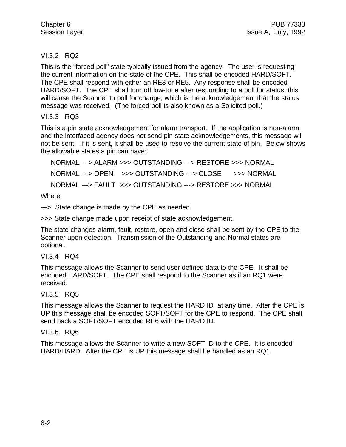# VI.3.2 RQ2

This is the "forced poll" state typically issued from the agency. The user is requesting the current information on the state of the CPE. This shall be encoded HARD/SOFT. The CPE shall respond with either an RE3 or RE5. Any response shall be encoded HARD/SOFT. The CPE shall turn off low-tone after responding to a poll for status, this will cause the Scanner to poll for change, which is the acknowledgement that the status message was received. (The forced poll is also known as a Solicited poll.)

# VI.3.3 RQ3

This is a pin state acknowledgement for alarm transport. If the application is non-alarm, and the interfaced agency does not send pin state acknowledgements, this message will not be sent. If it is sent, it shall be used to resolve the current state of pin. Below shows the allowable states a pin can have:

NORMAL ---> ALARM >>> OUTSTANDING ---> RESTORE >>> NORMAL NORMAL ---> OPEN >>> OUTSTANDING ---> CLOSE >>> NORMAL NORMAL ---> FAULT >>> OUTSTANDING ---> RESTORE >>> NORMAL

Where:

---> State change is made by the CPE as needed.

>>> State change made upon receipt of state acknowledgement.

The state changes alarm, fault, restore, open and close shall be sent by the CPE to the Scanner upon detection. Transmission of the Outstanding and Normal states are optional.

#### VI.3.4 RQ4

This message allows the Scanner to send user defined data to the CPE. It shall be encoded HARD/SOFT. The CPE shall respond to the Scanner as if an RQ1 were received.

# VI.3.5 RQ5

This message allows the Scanner to request the HARD ID at any time. After the CPE is UP this message shall be encoded SOFT/SOFT for the CPE to respond. The CPE shall send back a SOFT/SOFT encoded RE6 with the HARD ID.

# VI.3.6 RQ6

This message allows the Scanner to write a new SOFT ID to the CPE. It is encoded HARD/HARD. After the CPE is UP this message shall be handled as an RQ1.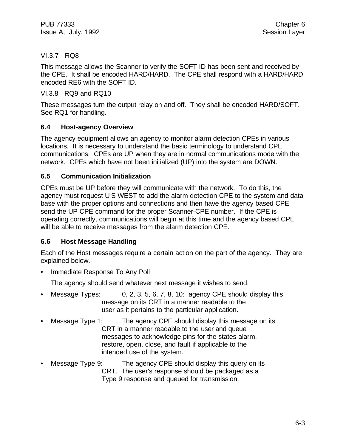# VI.3.7 RQ8

This message allows the Scanner to verify the SOFT ID has been sent and received by the CPE. It shall be encoded HARD/HARD. The CPE shall respond with a HARD/HARD encoded RE6 with the SOFT ID.

# VI.3.8 RQ9 and RQ10

These messages turn the output relay on and off. They shall be encoded HARD/SOFT. See RQ1 for handling.

# **6.4 Host-agency Overview**

The agency equipment allows an agency to monitor alarm detection CPEs in various locations. It is necessary to understand the basic terminology to understand CPE communications. CPEs are UP when they are in normal communications mode with the network. CPEs which have not been initialized (UP) into the system are DOWN.

# **6.5 Communication Initialization**

CPEs must be UP before they will communicate with the network. To do this, the agency must request U S WEST to add the alarm detection CPE to the system and data base with the proper options and connections and then have the agency based CPE send the UP CPE command for the proper Scanner-CPE number. If the CPE is operating correctly, communications will begin at this time and the agency based CPE will be able to receive messages from the alarm detection CPE.

# **6.6 Host Message Handling**

Each of the Host messages require a certain action on the part of the agency. They are explained below.

• Immediate Response To Any Poll

The agency should send whatever next message it wishes to send.

- Message Types: 0, 2, 3, 5, 6, 7, 8, 10: agency CPE should display this message on its CRT in a manner readable to the user as it pertains to the particular application.
- Message Type 1: The agency CPE should display this message on its CRT in a manner readable to the user and queue messages to acknowledge pins for the states alarm, restore, open, close, and fault if applicable to the intended use of the system.
- Message Type 9: The agency CPE should display this query on its CRT. The user's response should be packaged as a Type 9 response and queued for transmission.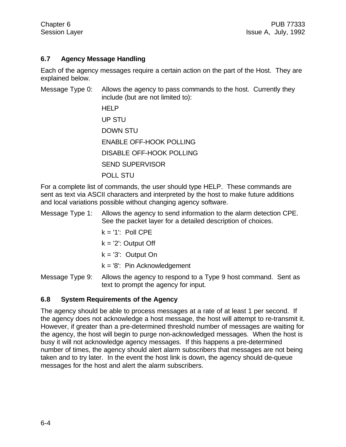#### **6.7 Agency Message Handling**

Each of the agency messages require a certain action on the part of the Host. They are explained below.

Message Type 0: Allows the agency to pass commands to the host. Currently they include (but are not limited to): HELP UP STU DOWN STU ENABLE OFF-HOOK POLLING DISABLE OFF-HOOK POLLING SEND SUPERVISOR POLL STU

For a complete list of commands, the user should type HELP. These commands are sent as text via ASCII characters and interpreted by the host to make future additions and local variations possible without changing agency software.

Message Type 1: Allows the agency to send information to the alarm detection CPE. See the packet layer for a detailed description of choices.

- $k = '1'$ : Poll CPE
- $k = '2'$ : Output Off
- $k = '3'$ : Output On
- $k = 8$ : Pin Acknowledgement

Message Type 9: Allows the agency to respond to a Type 9 host command. Sent as text to prompt the agency for input.

#### **6.8 System Requirements of the Agency**

The agency should be able to process messages at a rate of at least 1 per second. If the agency does not acknowledge a host message, the host will attempt to re-transmit it. However, if greater than a pre-determined threshold number of messages are waiting for the agency, the host will begin to purge non-acknowledged messages. When the host is busy it will not acknowledge agency messages. If this happens a pre-determined number of times, the agency should alert alarm subscribers that messages are not being taken and to try later. In the event the host link is down, the agency should de-queue messages for the host and alert the alarm subscribers.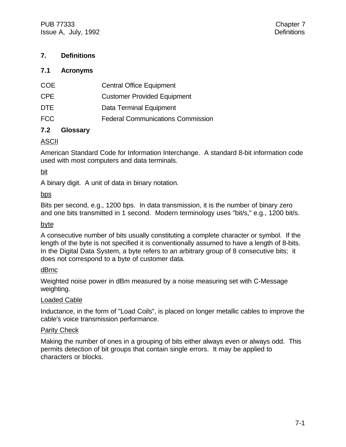# **7. Definitions**

#### **7.1 Acronyms**

| COE        | <b>Central Office Equipment</b>          |
|------------|------------------------------------------|
| CPF.       | <b>Customer Provided Equipment</b>       |
| <b>DTE</b> | Data Terminal Equipment                  |
| <b>FCC</b> | <b>Federal Communications Commission</b> |
|            |                                          |

# **7.2 Glossary**

#### ASCII

American Standard Code for Information Interchange. A standard 8-bit information code used with most computers and data terminals.

bit

A binary digit. A unit of data in binary notation.

#### bps

Bits per second, e.g., 1200 bps. In data transmission, it is the number of binary zero and one bits transmitted in 1 second. Modern terminology uses "bit/s," e.g., 1200 bit/s.

#### byte

A consecutive number of bits usually constituting a complete character or symbol. If the length of the byte is not specified it is conventionally assumed to have a length of 8-bits. In the Digital Data System, a byte refers to an arbitrary group of 8 consecutive bits; it does not correspond to a byte of customer data.

#### dBrnc

Weighted noise power in dBm measured by a noise measuring set with C-Message weighting.

#### Loaded Cable

Inductance, in the form of "Load Coils", is placed on longer metallic cables to improve the cable's voice transmission performance.

#### **Parity Check**

Making the number of ones in a grouping of bits either always even or always odd. This permits detection of bit groups that contain single errors. It may be applied to characters or blocks.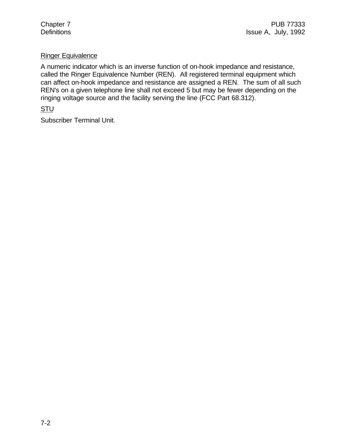### Ringer Equivalence

A numeric indicator which is an inverse function of on-hook impedance and resistance, called the Ringer Equivalence Number (REN). All registered terminal equipment which can affect on-hook impedance and resistance are assigned a REN. The sum of all such REN's on a given telephone line shall not exceed 5 but may be fewer depending on the ringing voltage source and the facility serving the line (FCC Part 68.312).

#### **STU**

Subscriber Terminal Unit.